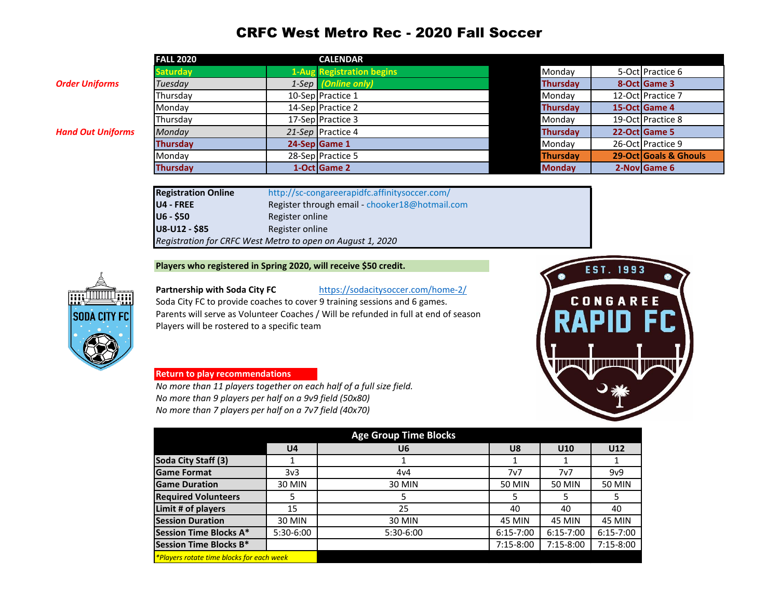## CRFC West Metro Rec - 2020 Fall Soccer

|                          | <b>FALL 2020</b> | <b>CALENDAR</b>                  |                 |                       |
|--------------------------|------------------|----------------------------------|-----------------|-----------------------|
|                          | <b>Saturday</b>  | <b>1-Aug Registration begins</b> | Monday          | 5-Oct Practice 6      |
| Order Uniforms           | Tuesday          | 1-Sep (Online only)              | <b>Thursday</b> | 8-Oct Game 3          |
|                          | Thursday         | 10-Sep Practice 1                | Monday          | 12-Oct Practice 7     |
|                          | Mondav           | 14-Sep Practice 2                | <b>Thursday</b> | 15-Oct Game 4         |
|                          | Thursday         | 17-Sep Practice 3                | Monday          | 19-Oct Practice 8     |
| <b>Hand Out Uniforms</b> | Monday           | 21-Sep Practice 4                | <b>Thursday</b> | 22-Oct Game 5         |
|                          | <b>Thursday</b>  | 24-Sep Game 1                    | Monday          | 26-OctlPractice 9     |
|                          | Monday           | 28-Sep Practice 5                | Thursday        | 29-Oct Goals & Ghouls |
|                          | <b>Thursday</b>  | 1-Oct Game 2                     | <b>Monday</b>   | 2-Nov Game 6          |
|                          |                  |                                  |                 |                       |

| <b>Registration Online</b>                                 | http://sc-congareerapidfc.affinitysoccer.com/  |  |  |  |  |
|------------------------------------------------------------|------------------------------------------------|--|--|--|--|
| U4 - FREE                                                  | Register through email - chooker18@hotmail.com |  |  |  |  |
| U6 - \$50                                                  | Register online                                |  |  |  |  |
| U8-U12 - \$85                                              | Register online                                |  |  |  |  |
| Registration for CRFC West Metro to open on August 1, 2020 |                                                |  |  |  |  |

**Players who registered in Spring 2020, will receive \$50 credit.**



Partnership with Soda City FC <https://sodacitysoccer.com/home-2/> Soda City FC to provide coaches to cover 9 training sessions and 6 games. Parents will serve as Volunteer Coaches / Will be refunded in full at end of season Players will be rostered to a specific team

## CONGAREE 10 EU J **IN JIMALI** HIJ LI H

EST. 1993

#### **Return to play recommendations**

*No more than 11 players together on each half of a full size field. No more than 9 players per half on a 9v9 field (50x80) No more than 7 players per half on a 7v7 field (40x70)*

|                                           |                | <b>Age Group Time Blocks</b> |               |               |               |
|-------------------------------------------|----------------|------------------------------|---------------|---------------|---------------|
|                                           | U <sub>4</sub> | U <sub>6</sub>               | U8            | U10           | U12           |
| Soda City Staff (3)                       |                |                              |               |               |               |
| <b>Game Format</b>                        | 3v3            | 4v4                          | 7v7           | 7v7           | 9v9           |
| <b>Game Duration</b>                      | 30 MIN         | 30 MIN                       | 50 MIN        | 50 MIN        | <b>50 MIN</b> |
| <b>Required Volunteers</b>                |                |                              |               |               |               |
| Limit # of players                        | 15             | 25                           | 40            | 40            | 40            |
| <b>Session Duration</b>                   | 30 MIN         | <b>30 MIN</b>                | 45 MIN        | <b>45 MIN</b> | <b>45 MIN</b> |
| Session Time Blocks A*                    | 5:30-6:00      | $5:30-6:00$                  | $6:15 - 7:00$ | $6:15 - 7:00$ | $6:15 - 7:00$ |
| Session Time Blocks B*                    |                |                              | $7:15-8:00$   | 7:15-8:00     | $7:15-8:00$   |
| *Players rotate time blocks for each week |                |                              |               |               |               |